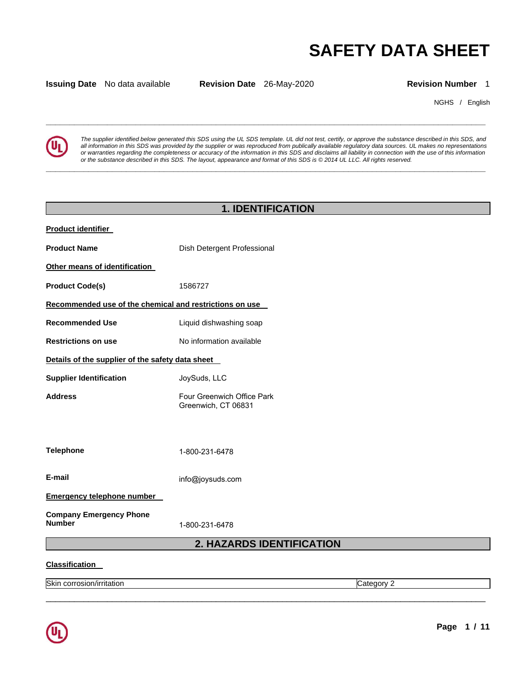# **SAFETY DATA SHEET**

**Issuing Date** No data available **Revision Date** 26-May-2020 **Revision Number** 1

**\_\_\_\_\_\_\_\_\_\_\_\_\_\_\_\_\_\_\_\_\_\_\_\_\_\_\_\_\_\_\_\_\_\_\_\_\_\_\_\_\_\_\_\_\_\_\_\_\_\_\_\_\_\_\_\_\_\_\_\_\_\_\_\_\_\_\_\_\_\_\_\_\_\_\_\_\_\_\_\_\_\_\_\_\_\_\_\_\_\_\_\_\_** 

**\_\_\_\_\_\_\_\_\_\_\_\_\_\_\_\_\_\_\_\_\_\_\_\_\_\_\_\_\_\_\_\_\_\_\_\_\_\_\_\_\_\_\_\_\_\_\_\_\_\_\_\_\_\_\_\_\_\_\_\_\_\_\_\_\_\_\_\_\_\_\_\_\_\_\_\_\_\_\_\_\_\_\_\_\_\_\_\_\_\_\_\_\_** 

NGHS / English



*The supplier identified below generated this SDS using the UL SDS template. UL did not test, certify, or approve the substance described in this SDS, and all information in this SDS was provided by the supplier or was reproduced from publically available regulatory data sources. UL makes no representations or warranties regarding the completeness or accuracy of the information in this SDS and disclaims all liability in connection with the use of this information or the substance described in this SDS. The layout, appearance and format of this SDS is © 2014 UL LLC. All rights reserved.* 

## **1. IDENTIFICATION Product identifier Product Name Dish Detergent Professional Other means of identification Product Code(s)** 1586727 **Recommended use of the chemical and restrictions on use Recommended Use** Liquid dishwashing soap **Restrictions on use 1998 CONTERNATION IN A VALUATE RESTRICTED RESTRICTED IN A VALUE OF A VALUE OF A VALUE OF A VALUE OF A VALUE OF A VALUE OF A VALUE OF A VALUE OF A VALUE OF A VALUE OF A VALUE OF A VALUE OF A VALUE OF A Details of the supplier of the safety data sheet Supplier Identification Address Telephone E-mail Emergency telephone number Company Emergency Phone Number**  JoySuds, LLC Four Greenwich Office Park Greenwich, CT 06831 1-800-231-6478 info@joysuds.com 1-800-231-6478 **2. HAZARDS IDENTIFICATION**

\_\_\_\_\_\_\_\_\_\_\_\_\_\_\_\_\_\_\_\_\_\_\_\_\_\_\_\_\_\_\_\_\_\_\_\_\_\_\_\_\_\_\_\_\_\_\_\_\_\_\_\_\_\_\_\_\_\_\_\_\_\_\_\_\_\_\_\_\_\_\_\_\_\_\_\_\_\_\_\_\_\_\_\_\_\_\_\_\_\_\_\_\_

### **Classification**

Skin corrosion/irritation **Category 2** and Category 2

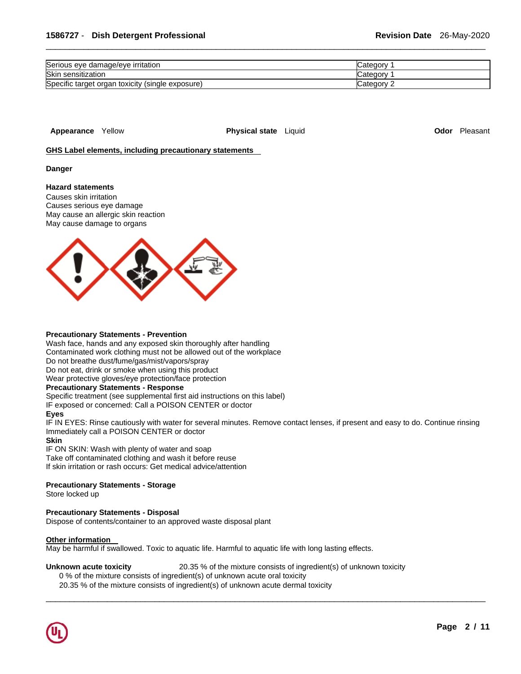| Serious eye damage/eye irritation                | Categor    |
|--------------------------------------------------|------------|
| Skin sensitization                               | Categor    |
| Specific target organ toxicity (single exposure) | ∵ateɑorv:ّ |

**Appearance** Yellow **Physical state** Liquid **Odor** Pleasant

**GHS Label elements, including precautionary statements** 

**Danger** 

## **Hazard statements**

Causes skin irritation Causes serious eye damage May cause an allergic skin reaction May cause damage to organs



#### **Precautionary Statements - Prevention**

Wash face, hands and any exposed skin thoroughly after handling Contaminated work clothing must not be allowed out of the workplace Do not breathe dust/fume/gas/mist/vapors/spray Do not eat, drink or smoke when using this product Wear protective gloves/eye protection/face protection **Precautionary Statements - Response** Specific treatment (see supplemental first aid instructions on this label) IF exposed or concerned: Call a POISON CENTER or doctor **Eyes**

IF IN EYES: Rinse cautiously with water for several minutes. Remove contact lenses, if present and easy to do. Continue rinsing Immediately call a POISON CENTER or doctor

\_\_\_\_\_\_\_\_\_\_\_\_\_\_\_\_\_\_\_\_\_\_\_\_\_\_\_\_\_\_\_\_\_\_\_\_\_\_\_\_\_\_\_\_\_\_\_\_\_\_\_\_\_\_\_\_\_\_\_\_\_\_\_\_\_\_\_\_\_\_\_\_\_\_\_\_\_\_\_\_\_\_\_\_\_\_\_\_\_\_\_\_\_

### **Skin**

IF ON SKIN: Wash with plenty of water and soap Take off contaminated clothing and wash it before reuse If skin irritation or rash occurs: Get medical advice/attention

## **Precautionary Statements - Storage**

Store locked up

## **Precautionary Statements - Disposal**

Dispose of contents/container to an approved waste disposal plant

#### **Other information**

May be harmful if swallowed. Toxic to aquatic life. Harmful to aquatic life with long lasting effects.

#### **Unknown acute toxicity** 20.35 % of the mixture consists of ingredient(s) of unknown toxicity

0 % of the mixture consists of ingredient(s) of unknown acute oral toxicity

20.35 % of the mixture consists of ingredient(s) of unknown acute dermal toxicity

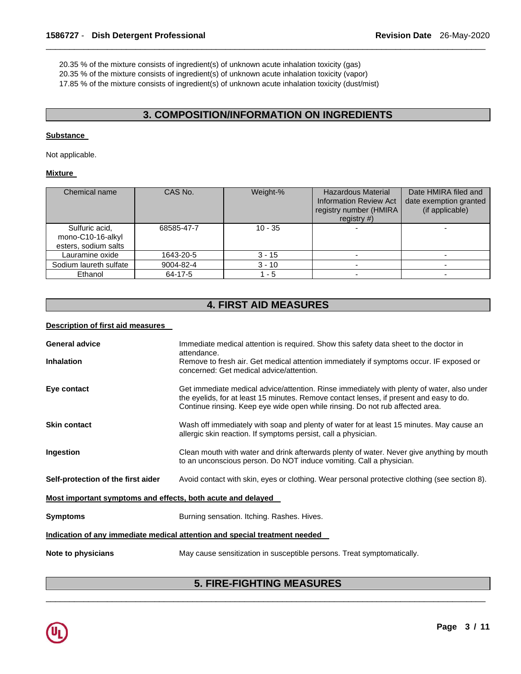20.35 % of the mixture consists of ingredient(s) of unknown acute inhalation toxicity (gas)

20.35 % of the mixture consists of ingredient(s) of unknown acute inhalation toxicity (vapor)

17.85 % of the mixture consists of ingredient(s) of unknown acute inhalation toxicity (dust/mist)

## **3. COMPOSITION/INFORMATION ON INGREDIENTS**

\_\_\_\_\_\_\_\_\_\_\_\_\_\_\_\_\_\_\_\_\_\_\_\_\_\_\_\_\_\_\_\_\_\_\_\_\_\_\_\_\_\_\_\_\_\_\_\_\_\_\_\_\_\_\_\_\_\_\_\_\_\_\_\_\_\_\_\_\_\_\_\_\_\_\_\_\_\_\_\_\_\_\_\_\_\_\_\_\_\_\_\_\_

## **Substance**

Not applicable.

## **Mixture**

| Chemical name                                               | CAS No.    | Weight-%  | <b>Hazardous Material</b><br><b>Information Review Act</b><br>registry number (HMIRA<br>registry $#$ ) | Date HMIRA filed and<br>date exemption granted<br>(if applicable) |
|-------------------------------------------------------------|------------|-----------|--------------------------------------------------------------------------------------------------------|-------------------------------------------------------------------|
| Sulfuric acid,<br>mono-C10-16-alkyl<br>esters, sodium salts | 68585-47-7 | $10 - 35$ |                                                                                                        |                                                                   |
| Lauramine oxide                                             | 1643-20-5  | 3 - 15    |                                                                                                        |                                                                   |
| Sodium laureth sulfate                                      | 9004-82-4  | $3 - 10$  |                                                                                                        |                                                                   |
| Ethanol                                                     | 64-17-5    | - 5       |                                                                                                        |                                                                   |

## **4. FIRST AID MEASURES**

## **Description of first aid measures**

| <b>General advice</b><br><b>Inhalation</b>                                 | Immediate medical attention is required. Show this safety data sheet to the doctor in<br>attendance.<br>Remove to fresh air. Get medical attention immediately if symptoms occur. IF exposed or<br>concerned: Get medical advice/attention.                            |  |
|----------------------------------------------------------------------------|------------------------------------------------------------------------------------------------------------------------------------------------------------------------------------------------------------------------------------------------------------------------|--|
| Eye contact                                                                | Get immediate medical advice/attention. Rinse immediately with plenty of water, also under<br>the eyelids, for at least 15 minutes. Remove contact lenses, if present and easy to do.<br>Continue rinsing. Keep eye wide open while rinsing. Do not rub affected area. |  |
| <b>Skin contact</b>                                                        | Wash off immediately with soap and plenty of water for at least 15 minutes. May cause an<br>allergic skin reaction. If symptoms persist, call a physician.                                                                                                             |  |
| Ingestion                                                                  | Clean mouth with water and drink afterwards plenty of water. Never give anything by mouth<br>to an unconscious person. Do NOT induce vomiting. Call a physician.                                                                                                       |  |
| Self-protection of the first aider                                         | Avoid contact with skin, eyes or clothing. Wear personal protective clothing (see section 8).                                                                                                                                                                          |  |
| Most important symptoms and effects, both acute and delayed                |                                                                                                                                                                                                                                                                        |  |
| <b>Symptoms</b>                                                            | Burning sensation. Itching. Rashes. Hives.                                                                                                                                                                                                                             |  |
| Indication of any immediate medical attention and special treatment needed |                                                                                                                                                                                                                                                                        |  |
| Note to physicians                                                         | May cause sensitization in susceptible persons. Treat symptomatically.                                                                                                                                                                                                 |  |

## \_\_\_\_\_\_\_\_\_\_\_\_\_\_\_\_\_\_\_\_\_\_\_\_\_\_\_\_\_\_\_\_\_\_\_\_\_\_\_\_\_\_\_\_\_\_\_\_\_\_\_\_\_\_\_\_\_\_\_\_\_\_\_\_\_\_\_\_\_\_\_\_\_\_\_\_\_\_\_\_\_\_\_\_\_\_\_\_\_\_\_\_\_ **5. FIRE-FIGHTING MEASURES**

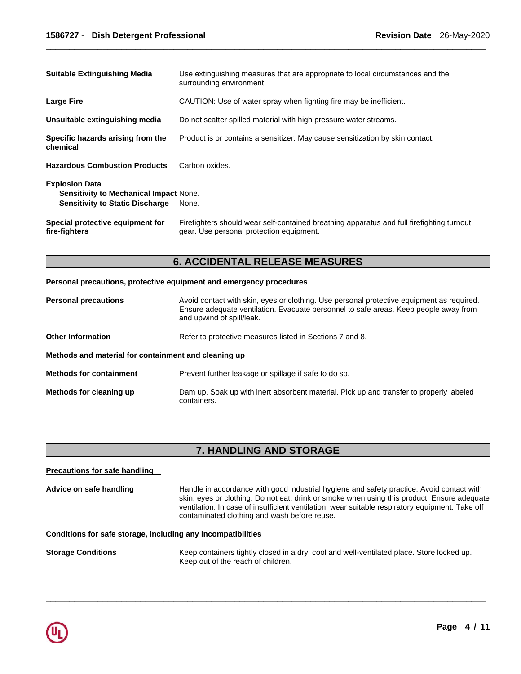| <b>Suitable Extinguishing Media</b>                                                                              | Use extinguishing measures that are appropriate to local circumstances and the<br>surrounding environment.                            |
|------------------------------------------------------------------------------------------------------------------|---------------------------------------------------------------------------------------------------------------------------------------|
| <b>Large Fire</b>                                                                                                | CAUTION: Use of water spray when fighting fire may be inefficient.                                                                    |
| Unsuitable extinguishing media                                                                                   | Do not scatter spilled material with high pressure water streams.                                                                     |
| Specific hazards arising from the<br>chemical                                                                    | Product is or contains a sensitizer. May cause sensitization by skin contact.                                                         |
| <b>Hazardous Combustion Products</b>                                                                             | Carbon oxides.                                                                                                                        |
| <b>Explosion Data</b><br><b>Sensitivity to Mechanical Impact None.</b><br><b>Sensitivity to Static Discharge</b> | None.                                                                                                                                 |
| Special protective equipment for<br>fire-fighters                                                                | Firefighters should wear self-contained breathing apparatus and full firefighting turnout<br>gear. Use personal protection equipment. |

## **6. ACCIDENTAL RELEASE MEASURES**

## **Personal precautions, protective equipment and emergency procedures**

| <b>Personal precautions</b>                          | Avoid contact with skin, eyes or clothing. Use personal protective equipment as required.<br>Ensure adequate ventilation. Evacuate personnel to safe areas. Keep people away from<br>and upwind of spill/leak. |
|------------------------------------------------------|----------------------------------------------------------------------------------------------------------------------------------------------------------------------------------------------------------------|
| <b>Other Information</b>                             | Refer to protective measures listed in Sections 7 and 8.                                                                                                                                                       |
| Methods and material for containment and cleaning up |                                                                                                                                                                                                                |
| <b>Methods for containment</b>                       | Prevent further leakage or spillage if safe to do so.                                                                                                                                                          |
| Methods for cleaning up                              | Dam up. Soak up with inert absorbent material. Pick up and transfer to properly labeled<br>containers.                                                                                                         |

## **7. HANDLING AND STORAGE**

## **Precautions for safe handling Advice on safe handling** Handle in accordance with good industrial hygiene and safety practice. Avoid contact with skin, eyes or clothing. Do not eat, drink or smoke when using this product. Ensure adequate ventilation. In case of insufficient ventilation, wear suitable respiratory equipment. Take off contaminated clothing and wash before reuse. **Conditions for safe storage, including any incompatibilities Storage Conditions** Keep containers tightly closed in a dry, cool and well-ventilated place. Store locked up.

\_\_\_\_\_\_\_\_\_\_\_\_\_\_\_\_\_\_\_\_\_\_\_\_\_\_\_\_\_\_\_\_\_\_\_\_\_\_\_\_\_\_\_\_\_\_\_\_\_\_\_\_\_\_\_\_\_\_\_\_\_\_\_\_\_\_\_\_\_\_\_\_\_\_\_\_\_\_\_\_\_\_\_\_\_\_\_\_\_\_\_\_\_

Keep out of the reach of children.

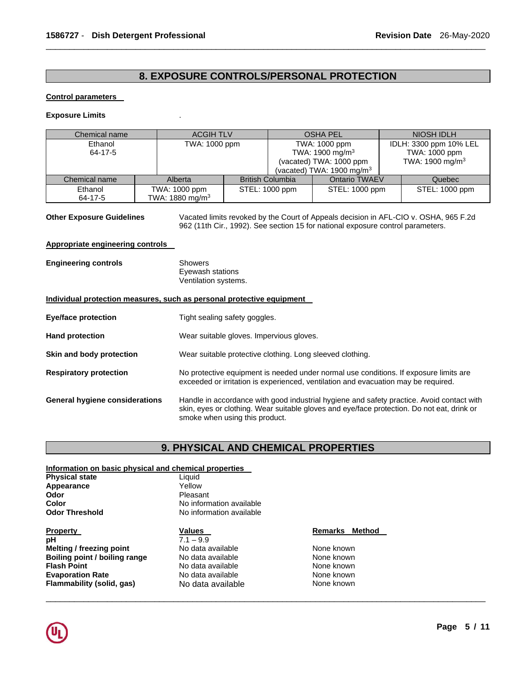## **8. EXPOSURE CONTROLS/PERSONAL PROTECTION**

\_\_\_\_\_\_\_\_\_\_\_\_\_\_\_\_\_\_\_\_\_\_\_\_\_\_\_\_\_\_\_\_\_\_\_\_\_\_\_\_\_\_\_\_\_\_\_\_\_\_\_\_\_\_\_\_\_\_\_\_\_\_\_\_\_\_\_\_\_\_\_\_\_\_\_\_\_\_\_\_\_\_\_\_\_\_\_\_\_\_\_\_\_

### **Control parameters**

#### **Exposure Limits** .

| Chemical name |                             | <b>ACGIH TLV</b> |                         | <b>OSHA PEL</b>                      |  | NIOSH IDLH                  |  |
|---------------|-----------------------------|------------------|-------------------------|--------------------------------------|--|-----------------------------|--|
| Ethanol       |                             | TWA: 1000 ppm    |                         | TWA: 1000 ppm                        |  | IDLH: 3300 ppm 10% LEL      |  |
| 64-17-5       |                             |                  |                         | TWA: 1900 mg/m <sup>3</sup>          |  | TWA: 1000 ppm               |  |
|               |                             |                  |                         | (vacated) TWA: 1000 ppm              |  | TWA: 1900 mg/m <sup>3</sup> |  |
|               |                             |                  |                         | (vacated) TWA: $1900 \text{ mg/m}^3$ |  |                             |  |
| Chemical name | Alberta                     |                  | <b>British Columbia</b> | Ontario TWAEV                        |  | Quebec                      |  |
| Ethanol       | TWA: 1000 ppm               | STEL: 1000 ppm   |                         | STEL: 1000 ppm                       |  | STEL: 1000 ppm              |  |
| 64-17-5       | TWA: 1880 mg/m <sup>3</sup> |                  |                         |                                      |  |                             |  |

**Other Exposure Guidelines** Vacated limits revoked by the Court of Appeals decision in AFL-CIO v. OSHA, 965 F.2d 962 (11th Cir., 1992). See section 15 for national exposure control parameters.

### **Appropriate engineering controls**

| Showers              |
|----------------------|
| Eyewash stations     |
| Ventilation systems. |
|                      |

### **Individual protection measures, such as personal protective equipment**

| Eye/face protection                   | Tight sealing safety goggles.                                                                                                                                                                                             |
|---------------------------------------|---------------------------------------------------------------------------------------------------------------------------------------------------------------------------------------------------------------------------|
| <b>Hand protection</b>                | Wear suitable gloves. Impervious gloves.                                                                                                                                                                                  |
| Skin and body protection              | Wear suitable protective clothing. Long sleeved clothing.                                                                                                                                                                 |
| <b>Respiratory protection</b>         | No protective equipment is needed under normal use conditions. If exposure limits are<br>exceeded or irritation is experienced, ventilation and evacuation may be required.                                               |
| <b>General hygiene considerations</b> | Handle in accordance with good industrial hygiene and safety practice. Avoid contact with<br>skin, eyes or clothing. Wear suitable gloves and eye/face protection. Do not eat, drink or<br>smoke when using this product. |

## **9. PHYSICAL AND CHEMICAL PROPERTIES**

\_\_\_\_\_\_\_\_\_\_\_\_\_\_\_\_\_\_\_\_\_\_\_\_\_\_\_\_\_\_\_\_\_\_\_\_\_\_\_\_\_\_\_\_\_\_\_\_\_\_\_\_\_\_\_\_\_\_\_\_\_\_\_\_\_\_\_\_\_\_\_\_\_\_\_\_\_\_\_\_\_\_\_\_\_\_\_\_\_\_\_\_\_

## **Information on basic physical and chemical properties**

| <b>Physical state</b> | Liquid         |  |
|-----------------------|----------------|--|
| Appearance            | Yellow         |  |
| Odor                  | Pleasant       |  |
| Color                 | No information |  |
| <b>Odor Threshold</b> | No information |  |
|                       |                |  |

**Property**<br> **Property**<br> **PH**<br> **PH**<br> **PH Melting / freezing point No data available None known Boiling point / boiling range** <br> **No data available <br>
No data available None known**<br>
No data available **None known Evaporation Rate No data available None known Flammability (solid, gas)** No data available None known

# available available

 $\overline{7.1 - 9.9}$ <br>No data available **Flash Point Available**<br> **Flash Point Available**<br> **Flash Point Available**<br> **Flash Point Available**<br> **None known** 

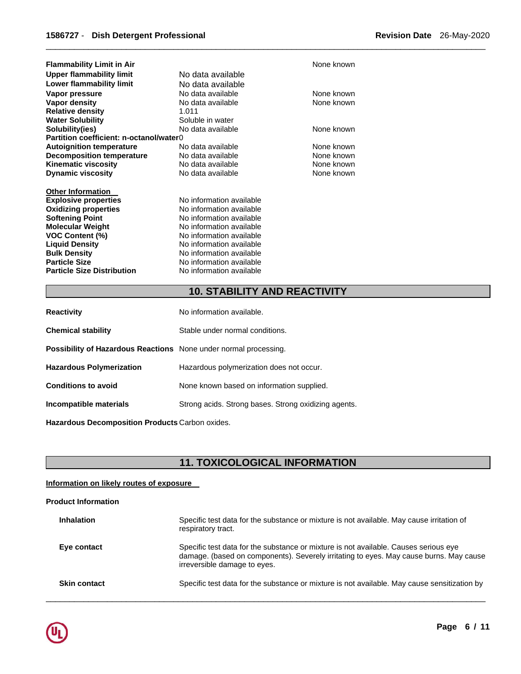| <b>Flammability Limit in Air</b>        |                          | None known |
|-----------------------------------------|--------------------------|------------|
| Upper flammability limit                | No data available        |            |
| Lower flammability limit                | No data available        |            |
| Vapor pressure                          | No data available        | None known |
| Vapor density                           | No data available        | None known |
| <b>Relative density</b>                 | 1.011                    |            |
| <b>Water Solubility</b>                 | Soluble in water         |            |
| Solubility(ies)                         | No data available        | None known |
| Partition coefficient: n-octanol/water0 |                          |            |
| <b>Autoignition temperature</b>         | No data available        | None known |
| <b>Decomposition temperature</b>        | No data available        | None known |
| <b>Kinematic viscosity</b>              | No data available        | None known |
| <b>Dynamic viscosity</b>                | No data available        | None known |
|                                         |                          |            |
| <b>Other Information</b>                |                          |            |
| <b>Explosive properties</b>             | No information available |            |
| <b>Oxidizing properties</b>             | No information available |            |
| <b>Softening Point</b>                  | No information available |            |
| <b>Molecular Weight</b>                 | No information available |            |
| <b>VOC Content (%)</b>                  | No information available |            |
| <b>Liquid Density</b>                   | No information available |            |
| <b>Bulk Density</b>                     | No information available |            |
| <b>Particle Size</b>                    | No information available |            |
| <b>Particle Size Distribution</b>       | No information available |            |
|                                         |                          |            |

## **10. STABILITY AND REACTIVITY**

\_\_\_\_\_\_\_\_\_\_\_\_\_\_\_\_\_\_\_\_\_\_\_\_\_\_\_\_\_\_\_\_\_\_\_\_\_\_\_\_\_\_\_\_\_\_\_\_\_\_\_\_\_\_\_\_\_\_\_\_\_\_\_\_\_\_\_\_\_\_\_\_\_\_\_\_\_\_\_\_\_\_\_\_\_\_\_\_\_\_\_\_\_

| <b>Reactivity</b>                                                       | No information available.                            |
|-------------------------------------------------------------------------|------------------------------------------------------|
| <b>Chemical stability</b>                                               | Stable under normal conditions.                      |
| <b>Possibility of Hazardous Reactions</b> None under normal processing. |                                                      |
| <b>Hazardous Polymerization</b>                                         | Hazardous polymerization does not occur.             |
| <b>Conditions to avoid</b>                                              | None known based on information supplied.            |
| Incompatible materials                                                  | Strong acids. Strong bases. Strong oxidizing agents. |
|                                                                         |                                                      |

**Hazardous Decomposition Products** Carbon oxides.

## **11. TOXICOLOGICAL INFORMATION**

## **Information on likely routes of exposure**

## **Product Information**

| <b>Inhalation</b>   | Specific test data for the substance or mixture is not available. May cause irritation of<br>respiratory tract.                                                                                                |
|---------------------|----------------------------------------------------------------------------------------------------------------------------------------------------------------------------------------------------------------|
| Eye contact         | Specific test data for the substance or mixture is not available. Causes serious eye<br>damage. (based on components). Severely irritating to eyes. May cause burns. May cause<br>irreversible damage to eyes. |
| <b>Skin contact</b> | Specific test data for the substance or mixture is not available. May cause sensitization by                                                                                                                   |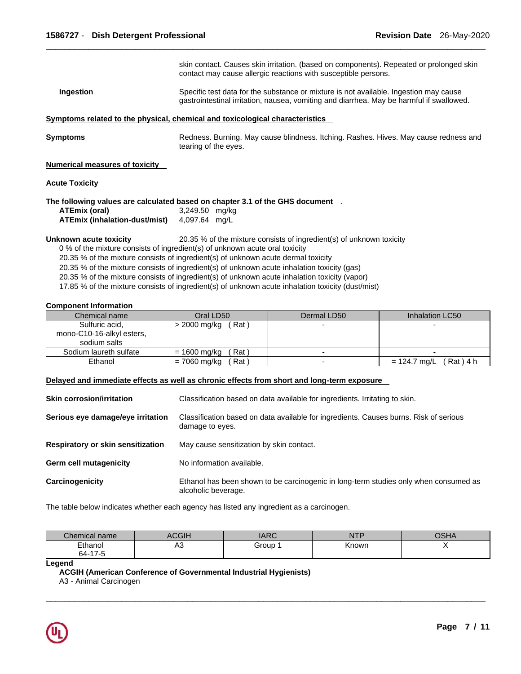|                                             | skin contact. Causes skin irritation. (based on components). Repeated or prolonged skin<br>contact may cause allergic reactions with susceptible persons.                         |  |
|---------------------------------------------|-----------------------------------------------------------------------------------------------------------------------------------------------------------------------------------|--|
| Ingestion                                   | Specific test data for the substance or mixture is not available. Ingestion may cause<br>gastrointestinal irritation, nausea, vomiting and diarrhea. May be harmful if swallowed. |  |
|                                             | Symptoms related to the physical, chemical and toxicological characteristics                                                                                                      |  |
| Symptoms                                    | Redness. Burning. May cause blindness. Itching. Rashes. Hives. May cause redness and<br>tearing of the eyes.                                                                      |  |
| Numerical measures of toxicity              |                                                                                                                                                                                   |  |
| <b>Acute Toxicity</b>                       |                                                                                                                                                                                   |  |
|                                             | The following values are calculated based on chapter 3.1 of the GHS document $\;\;$ .                                                                                             |  |
| ATEmix (oral)                               | 3,249.50 mg/kg                                                                                                                                                                    |  |
| ATEmix (inhalation-dust/mist) 4,097.64 mg/L |                                                                                                                                                                                   |  |
| Unknown acute toxicity                      | 20.35 % of the mixture consists of ingredient(s) of unknown toxicity                                                                                                              |  |
|                                             | 0 % of the mixture consists of ingredient(s) of unknown acute oral toxicity                                                                                                       |  |
|                                             | 20.35 % of the mixture consists of ingredient(s) of unknown acute dermal toxicity                                                                                                 |  |
|                                             |                                                                                                                                                                                   |  |

20.35 % of the mixture consists of ingredient(s) of unknown acute inhalation toxicity (gas)

20.35 % of the mixture consists of ingredient(s) of unknown acute inhalation toxicity (vapor)

17.85 % of the mixture consists of ingredient(s) of unknown acute inhalation toxicity (dust/mist)

## **Component Information**

| Chemical name             | Oral LD50             | Dermal LD50              | Inhalation LC50               |
|---------------------------|-----------------------|--------------------------|-------------------------------|
| Sulfuric acid,            | > 2000 mg/kg<br>(Rat) | $\overline{\phantom{0}}$ |                               |
| mono-C10-16-alkyl esters, |                       |                          |                               |
| sodium salts              |                       |                          |                               |
| Sodium laureth sulfate    | = 1600 mg/kg<br>Rat \ |                          |                               |
| Ethanol                   | = 7060 mg/kg<br>Rat \ | $\overline{\phantom{0}}$ | $(Rat)$ 4 h<br>$= 124.7$ mg/L |

## **Delayed and immediate effects as well as chronic effects from short and long-term exposure**

| <b>Skin corrosion/irritation</b>  | Classification based on data available for ingredients. Irritating to skin.                                 |
|-----------------------------------|-------------------------------------------------------------------------------------------------------------|
| Serious eye damage/eye irritation | Classification based on data available for ingredients. Causes burns. Risk of serious<br>damage to eyes.    |
| Respiratory or skin sensitization | May cause sensitization by skin contact.                                                                    |
| <b>Germ cell mutagenicity</b>     | No information available.                                                                                   |
| Carcinogenicity                   | Ethanol has been shown to be carcinogenic in long-term studies only when consumed as<br>alcoholic beverage. |

The table below indicates whether each agency has listed any ingredient as a carcinogen.

| Chemical name | $\sim$<br>AUGIF.      | <b>IARC</b> | NTP<br>.     | $\bigcap$ CLIA<br>או וטע |
|---------------|-----------------------|-------------|--------------|--------------------------|
| Ethanol       | $\Lambda$ $\sim$<br>∼ | Group       | <b>Known</b> |                          |
| 64-17-5       |                       |             |              |                          |

\_\_\_\_\_\_\_\_\_\_\_\_\_\_\_\_\_\_\_\_\_\_\_\_\_\_\_\_\_\_\_\_\_\_\_\_\_\_\_\_\_\_\_\_\_\_\_\_\_\_\_\_\_\_\_\_\_\_\_\_\_\_\_\_\_\_\_\_\_\_\_\_\_\_\_\_\_\_\_\_\_\_\_\_\_\_\_\_\_\_\_\_\_

## **Legend**

**ACGIH (American Conference of Governmental Industrial Hygienists)**

A3 - Animal Carcinogen

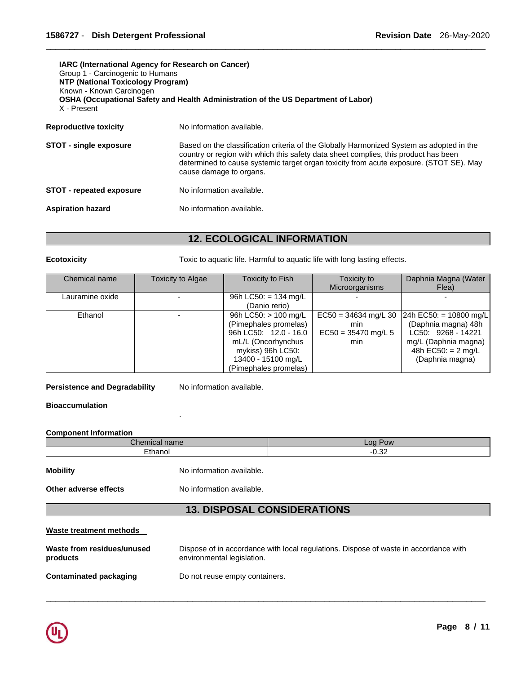| <b>IARC (International Agency for Research on Cancer)</b><br>Group 1 - Carcinogenic to Humans<br><b>NTP (National Toxicology Program)</b><br>Known - Known Carcinogen<br>OSHA (Occupational Safety and Health Administration of the US Department of Labor)<br>X - Present |                                                                                                                                                                                                                                                                                                      |  |
|----------------------------------------------------------------------------------------------------------------------------------------------------------------------------------------------------------------------------------------------------------------------------|------------------------------------------------------------------------------------------------------------------------------------------------------------------------------------------------------------------------------------------------------------------------------------------------------|--|
| <b>Reproductive toxicity</b>                                                                                                                                                                                                                                               | No information available.                                                                                                                                                                                                                                                                            |  |
| <b>STOT - single exposure</b>                                                                                                                                                                                                                                              | Based on the classification criteria of the Globally Harmonized System as adopted in the<br>country or region with which this safety data sheet complies, this product has been<br>determined to cause systemic target organ toxicity from acute exposure. (STOT SE). May<br>cause damage to organs. |  |
| <b>STOT - repeated exposure</b>                                                                                                                                                                                                                                            | No information available.                                                                                                                                                                                                                                                                            |  |
| <b>Aspiration hazard</b>                                                                                                                                                                                                                                                   | No information available.                                                                                                                                                                                                                                                                            |  |

## **12. ECOLOGICAL INFORMATION**

**Ecotoxicity Toxic to aquatic life. Harmful to aquatic life with long lasting effects.** 

| Chemical name   | Toxicity to Algae | Toxicity to Fish                                                                                                                                                 | Toxicity to<br>Microorganisms                                 | Daphnia Magna (Water<br>Flea)                                                                                                          |
|-----------------|-------------------|------------------------------------------------------------------------------------------------------------------------------------------------------------------|---------------------------------------------------------------|----------------------------------------------------------------------------------------------------------------------------------------|
| Lauramine oxide |                   | 96h LC50: = 134 mg/L<br>(Danio rerio)                                                                                                                            |                                                               |                                                                                                                                        |
| Ethanol         |                   | 96h LC50: > 100 mg/L<br>(Pimephales promelas)<br>96h LC50: 12.0 - 16.0<br>mL/L (Oncorhynchus<br>mykiss) 96h LC50:<br>13400 - 15100 mg/L<br>(Pimephales promelas) | $EC50 = 34634$ mg/L 30<br>min<br>$EC50 = 35470$ mg/L 5<br>min | 24h EC50: = 10800 mg/L<br>(Daphnia magna) 48h<br>LC50: 9268 - 14221<br>mg/L (Daphnia magna)<br>48h EC50: $= 2$ mg/L<br>(Daphnia magna) |

Persistence and Degradability No information available.

## **Bioaccumulation**

## **Component Information**

| $\sim$<br>$-$ hor-<br>$-$<br>31 I I C | Pow<br>LOO.                |
|---------------------------------------|----------------------------|
| Fthanoi                               | $\sim$<br>-<br>--<br>∠ט.ט∠ |
|                                       |                            |

**Mobility Mobility No information available.** 

.

**Other adverse effects** No information available.

## **13. DISPOSAL CONSIDERATIONS**

## **Waste treatment methods**

| Waste from residues/unused | Dispose of in accordance with local regulations. Dispose of waste in accordance with |
|----------------------------|--------------------------------------------------------------------------------------|
| products                   | environmental legislation.                                                           |
| Contaminated packaging     | Do not reuse empty containers.                                                       |

\_\_\_\_\_\_\_\_\_\_\_\_\_\_\_\_\_\_\_\_\_\_\_\_\_\_\_\_\_\_\_\_\_\_\_\_\_\_\_\_\_\_\_\_\_\_\_\_\_\_\_\_\_\_\_\_\_\_\_\_\_\_\_\_\_\_\_\_\_\_\_\_\_\_\_\_\_\_\_\_\_\_\_\_\_\_\_\_\_\_\_\_\_

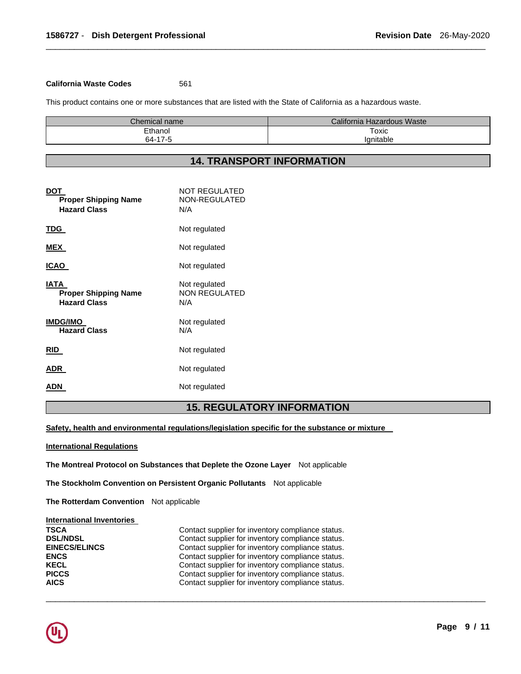## **California Waste Codes** 561

This product contains one or more substances that are listed with the State of California as a hazardous waste.

| Chemical name | California Hazardous Waste |
|---------------|----------------------------|
| Fthanol       | Toxic                      |
| 64-17-5       | 'anitable                  |

\_\_\_\_\_\_\_\_\_\_\_\_\_\_\_\_\_\_\_\_\_\_\_\_\_\_\_\_\_\_\_\_\_\_\_\_\_\_\_\_\_\_\_\_\_\_\_\_\_\_\_\_\_\_\_\_\_\_\_\_\_\_\_\_\_\_\_\_\_\_\_\_\_\_\_\_\_\_\_\_\_\_\_\_\_\_\_\_\_\_\_\_\_

## **14. TRANSPORT INFORMATION**

| DOT<br><b>Proper Shipping Name</b><br><b>Hazard Class</b>  | <b>NOT REGULATED</b><br>NON-REGULATED<br>N/A |
|------------------------------------------------------------|----------------------------------------------|
| TDG.                                                       | Not regulated                                |
| <b>MEX</b>                                                 | Not regulated                                |
| ICAO                                                       | Not regulated                                |
| IATA<br><b>Proper Shipping Name</b><br><b>Hazard Class</b> | Not regulated<br><b>NON REGULATED</b><br>N/A |
| <b>IMDG/IMO</b><br><b>Hazard Class</b>                     | Not regulated<br>N/A                         |
| <b>RID</b>                                                 | Not regulated                                |
| ADR                                                        | Not regulated                                |
| ADN                                                        | Not regulated                                |

## **15. REGULATORY INFORMATION**

\_\_\_\_\_\_\_\_\_\_\_\_\_\_\_\_\_\_\_\_\_\_\_\_\_\_\_\_\_\_\_\_\_\_\_\_\_\_\_\_\_\_\_\_\_\_\_\_\_\_\_\_\_\_\_\_\_\_\_\_\_\_\_\_\_\_\_\_\_\_\_\_\_\_\_\_\_\_\_\_\_\_\_\_\_\_\_\_\_\_\_\_\_

**Safety, health and environmental regulations/legislation specific for the substance or mixture** 

#### **International Regulations**

**The Montreal Protocol on Substances that Deplete the Ozone Layer** Not applicable

**The Stockholm Convention on Persistent Organic Pollutants** Not applicable

**The Rotterdam Convention** Not applicable

## **International Inventories**

| <b>TSCA</b>          | Contact supplier for inventory compliance status. |
|----------------------|---------------------------------------------------|
| <b>DSL/NDSL</b>      | Contact supplier for inventory compliance status. |
| <b>EINECS/ELINCS</b> | Contact supplier for inventory compliance status. |
| <b>ENCS</b>          | Contact supplier for inventory compliance status. |
| KECL                 | Contact supplier for inventory compliance status. |
| <b>PICCS</b>         | Contact supplier for inventory compliance status. |
| <b>AICS</b>          | Contact supplier for inventory compliance status. |

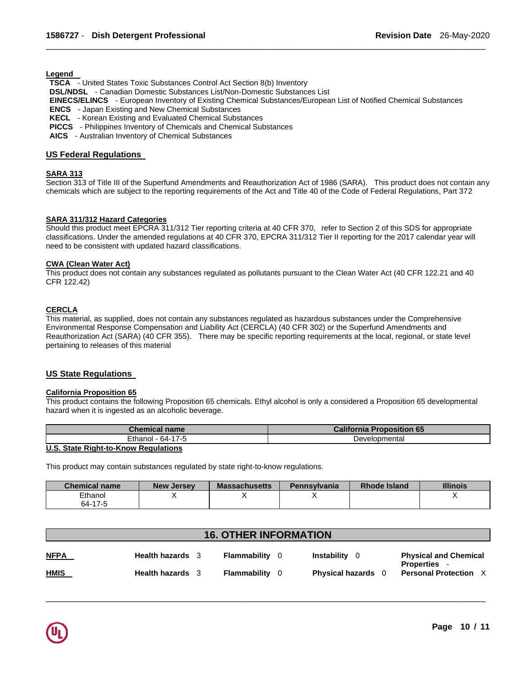**Legend** 

**TSCA** - United States Toxic Substances Control Act Section 8(b) Inventory

**DSL/NDSL** - Canadian Domestic Substances List/Non-Domestic Substances List

**EINECS/ELINCS** - European Inventory of Existing Chemical Substances/European List of Notified Chemical Substances

\_\_\_\_\_\_\_\_\_\_\_\_\_\_\_\_\_\_\_\_\_\_\_\_\_\_\_\_\_\_\_\_\_\_\_\_\_\_\_\_\_\_\_\_\_\_\_\_\_\_\_\_\_\_\_\_\_\_\_\_\_\_\_\_\_\_\_\_\_\_\_\_\_\_\_\_\_\_\_\_\_\_\_\_\_\_\_\_\_\_\_\_\_

**ENCS** - Japan Existing and New Chemical Substances

**KECL** - Korean Existing and Evaluated Chemical Substances

**PICCS** - Philippines Inventory of Chemicals and Chemical Substances

**AICS** - Australian Inventory of Chemical Substances

## **US Federal Regulations**

## **SARA 313**

Section 313 of Title III of the Superfund Amendments and Reauthorization Act of 1986 (SARA). This product does not contain any chemicals which are subject to the reporting requirements of the Act and Title 40 of the Code of Federal Regulations, Part 372

## **SARA 311/312 Hazard Categories**

Should this product meet EPCRA 311/312 Tier reporting criteria at 40 CFR 370, refer to Section 2 of this SDS for appropriate classifications. Under the amended regulations at 40 CFR 370, EPCRA 311/312 Tier II reporting for the 2017 calendar year will need to be consistent with updated hazard classifications.

## **CWA (Clean Water Act)**

This product does not contain any substances regulated as pollutants pursuant to the Clean Water Act (40 CFR 122.21 and 40 CFR 122.42)

## **CERCLA**

This material, as supplied, does not contain any substances regulated as hazardous substances under the Comprehensive Environmental Response Compensation and Liability Act (CERCLA) (40 CFR 302) or the Superfund Amendments and Reauthorization Act (SARA) (40 CFR 355). There may be specific reporting requirements at the local, regional, or state level pertaining to releases of this material

## **US State Regulations**

## **California Proposition 65**

This product contains the following Proposition 65 chemicals. Ethyl alcohol is only a considered a Proposition 65 developmental hazard when it is ingested as an alcoholic beverage.

| <b>Chemical name</b>                 | <b>California Proposition 65</b> |
|--------------------------------------|----------------------------------|
| Ethanol - 64-17-5                    | Developmental                    |
| U.S. State Right-to-Know Regulations |                                  |

This product may contain substances regulated by state right-to-know regulations.

| <b>Chemical name</b> | <b>New Jersey</b> | <b>Massachusetts</b> | <b>Pennsylvania</b> | Rhode Island | <b>Illinois</b> |
|----------------------|-------------------|----------------------|---------------------|--------------|-----------------|
| Ethanol              |                   |                      |                     |              |                 |
| 64-17-5              |                   |                      |                     |              |                 |

| <b>16. OTHER INFORMATION</b> |                         |  |              |     |                         |                                                     |  |  |  |
|------------------------------|-------------------------|--|--------------|-----|-------------------------|-----------------------------------------------------|--|--|--|
| <b>NFPA</b>                  | Health hazards 3        |  | Flammability |     | Instability<br>- 0      | <b>Physical and Chemical</b>                        |  |  |  |
| <b>HMIS</b>                  | <b>Health hazards</b> 3 |  | Flammability | - 0 | <b>Physical hazards</b> | <b>Properties</b> -<br><b>Personal Protection X</b> |  |  |  |

\_\_\_\_\_\_\_\_\_\_\_\_\_\_\_\_\_\_\_\_\_\_\_\_\_\_\_\_\_\_\_\_\_\_\_\_\_\_\_\_\_\_\_\_\_\_\_\_\_\_\_\_\_\_\_\_\_\_\_\_\_\_\_\_\_\_\_\_\_\_\_\_\_\_\_\_\_\_\_\_\_\_\_\_\_\_\_\_\_\_\_\_\_